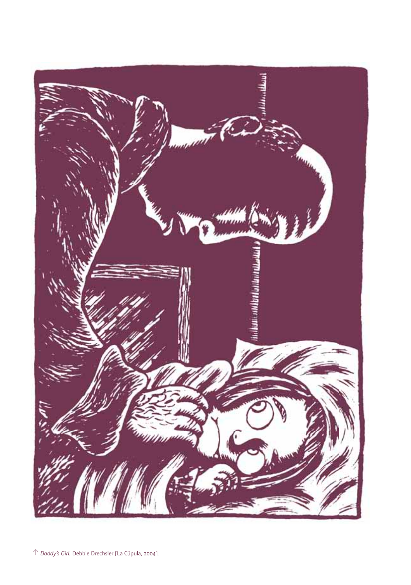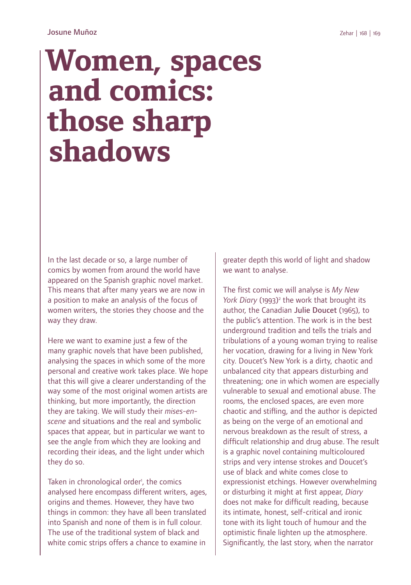## **Women, spaces and comics: those sharp shadows**

In the last decade or so, a large number of comics by women from around the world have appeared on the Spanish graphic novel market. This means that after many years we are now in a position to make an analysis of the focus of women writers, the stories they choose and the way they draw.

Here we want to examine just a few of the many graphic novels that have been published. analysing the spaces in which some of the more personal and creative work takes place. We hope that this will give a clearer understanding of the way some of the most original women artists are thinking, but more importantly, the direction they are taking. We will study their *mises-enscene* and situations and the real and symbolic spaces that appear, but in particular we want to see the angle from which they are looking and recording their ideas, and the light under which they do so.

Taken in chronological order', the comics analysed here encompass different writers, ages, origins and themes. However, they have two things in common: they have all been translated into Spanish and none of them is in full colour. The use of the traditional system of black and white comic strips offers a chance to examine in

greater depth this world of light and shadow we want to analyse.

The first comic we will analyse is My New *York Diary* (1993)<sup>2</sup> the work that brought its author, the Canadian Julie Doucet (1965), to the public's attention. The work is in the best underground tradition and tells the trials and tribulations of a young woman trying to realise her vocation, drawing for a living in New York city. Doucet's New York is a dirty, chaotic and unbalanced city that appears disturbing and threatening; one in which women are especially vulnerable to sexual and emotional abuse. The rooms, the enclosed spaces, are even more chaotic and stifling, and the author is depicted as being on the verge of an emotional and nervous breakdown as the result of stress, a difficult relationship and drug abuse. The result is a graphic novel containing multicoloured strips and very intense strokes and Doucet's use of black and white comes close to expressionist etchings. However overwhelming or disturbing it might at first appear, *Diary* does not make for difficult reading, because its intimate, honest, self-critical and ironic tone with its light touch of humour and the optimistic finale lighten up the atmosphere. Significantly, the last story, when the narrator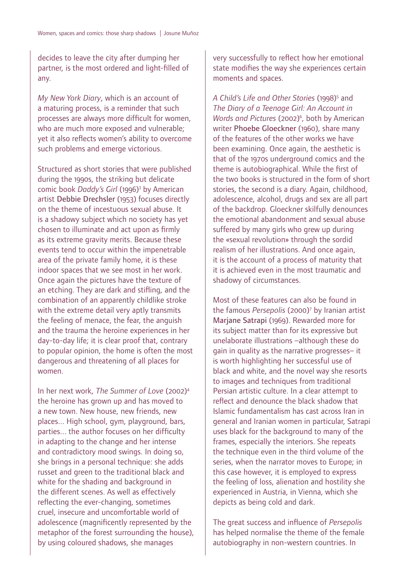decides to leave the city after dumping her partner, is the most ordered and light-filled of any.

*My New York Diary*, which is an account of a maturing process, is a reminder that such processes are always more difficult for women, who are much more exposed and vulnerable; yet it also reflects women's ability to overcome such problems and emerge victorious.

Structured as short stories that were published during the 1990s, the striking but delicate comic book *Daddy's Girl* (1996)3 by American artist Debbie Drechsler (1953) focuses directly on the theme of incestuous sexual abuse. It is a shadowy subject which no society has yet chosen to illuminate and act upon as firmly as its extreme gravity merits. Because these events tend to occur within the impenetrable area of the private family home, it is these indoor spaces that we see most in her work. Once again the pictures have the texture of an etching. They are dark and stifling, and the combination of an apparently childlike stroke with the extreme detail very aptly transmits the feeling of menace, the fear, the anguish and the trauma the heroine experiences in her day-to-day life; it is clear proof that, contrary to popular opinion, the home is often the most dangerous and threatening of all places for women.

In her next work, *The Summer of Love* (2002)4 the heroine has grown up and has moved to a new town. New house, new friends, new places... High school, gym, playground, bars, parties... the author focuses on her difficulty in adapting to the change and her intense and contradictory mood swings. In doing so, she brings in a personal technique: she adds russet and green to the traditional black and white for the shading and background in the different scenes. As well as effectively reflecting the ever-changing, sometimes cruel, insecure and uncomfortable world of adolescence (magnificently represented by the metaphor of the forest surrounding the house), by using coloured shadows, she manages

very successfully to reflect how her emotional state modifies the way she experiences certain moments and spaces.

*A Child's Life and Other Stories* (1998)5 and *The Diary of a Teenage Girl: An Account in*  Words and Pictures (2002)<sup>6</sup>, both by American writer Phoebe Gloeckner (1960), share many of the features of the other works we have been examining. Once again, the aesthetic is that of the 1970s underground comics and the theme is autobiographical. While the first of the two books is structured in the form of short stories, the second is a diary. Again, childhood, adolescence, alcohol, drugs and sex are all part of the backdrop. Gloeckner skilfully denounces the emotional abandonment and sexual abuse suffered by many girls who grew up during the «sexual revolution» through the sordid realism of her illustrations. And once again, it is the account of a process of maturity that it is achieved even in the most traumatic and shadowy of circumstances.

Most of these features can also be found in the famous *Persepolis* (2000)7 by Iranian artist Marjane Satrapi (1969). Rewarded more for its subject matter than for its expressive but unelaborate illustrations –although these do gain in quality as the narrative progresses– it is worth highlighting her successful use of black and white, and the novel way she resorts to images and techniques from traditional Persian artistic culture. In a clear attempt to reflect and denounce the black shadow that Islamic fundamentalism has cast across Iran in general and Iranian women in particular, Satrapi uses black for the background to many of the frames, especially the interiors. She repeats the technique even in the third volume of the series, when the narrator moves to Europe; in this case however, it is employed to express the feeling of loss, alienation and hostility she experienced in Austria, in Vienna, which she depicts as being cold and dark.

The great success and influence of *Persepolis* has helped normalise the theme of the female autobiography in non-western countries. In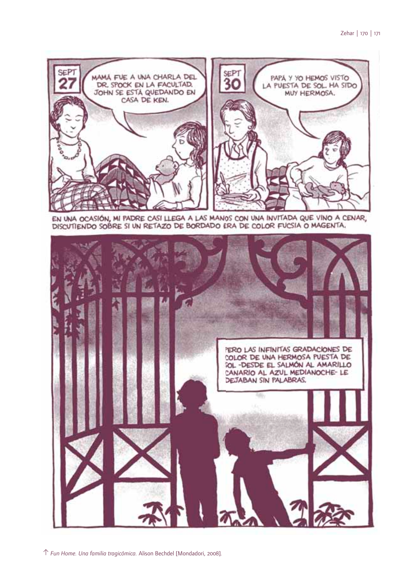

EN UNA OCASIÓN, MI PADRE CASI LLEGA A LAS MANOS CON UNA INVITADA QUE VINO A CENAR, DISCUTIENDO SOBRE SI UN RETAZO DE BORDADO ERA DE COLOR FUCSIA O MAGENTA.

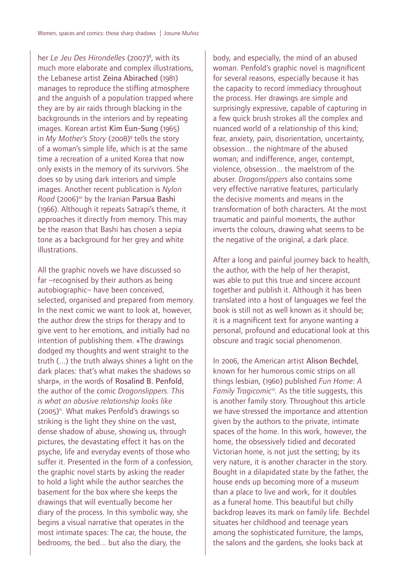her *Le Jeu Des Hirondelles* (2007)8 , with its much more elaborate and complex illustrations, the Lebanese artist Zeina Abirached (1981) manages to reproduce the stifling atmosphere and the anguish of a population trapped where they are by air raids through blacking in the backgrounds in the interiors and by repeating images. Korean artist Kim Eun-Sung (1965) in *My Mother's Story* (2008)9 tells the story of a woman's simple life, which is at the same time a recreation of a united Korea that now only exists in the memory of its survivors. She does so by using dark interiors and simple images. Another recent publication is *Nylon*  Road (2006)<sup>10</sup> by the Iranian Parsua Bashi (1966). Although it repeats Satrapi's theme, it approaches it directly from memory. This may be the reason that Bashi has chosen a sepia tone as a background for her grey and white illustrations.

All the graphic novels we have discussed so far –recognised by their authors as being autobiographic– have been conceived, selected, organised and prepared from memory. In the next comic we want to look at, however, the author drew the strips for therapy and to give vent to her emotions, and initially had no intention of publishing them. «The drawings dodged my thoughts and went straight to the truth (...) the truth always shines a light on the dark places: that's what makes the shadows so sharp», in the words of Rosalind B. Penfold, the author of the comic *Dragonslippers. This is what an abusive relationship looks like*   $(2005)$ <sup>n</sup>. What makes Penfold's drawings so striking is the light they shine on the vast, dense shadow of abuse, showing us, through pictures, the devastating effect it has on the psyche, life and everyday events of those who suffer it. Presented in the form of a confession, the graphic novel starts by asking the reader to hold a light while the author searches the basement for the box where she keeps the drawings that will eventually become her diary of the process. In this symbolic way, she begins a visual narrative that operates in the most intimate spaces: The car, the house, the bedrooms, the bed... but also the diary, the

body, and especially, the mind of an abused woman. Penfold's graphic novel is magnificent for several reasons, especially because it has the capacity to record immediacy throughout the process. Her drawings are simple and surprisingly expressive, capable of capturing in a few quick brush strokes all the complex and nuanced world of a relationship of this kind; fear, anxiety, pain, disorientation, uncertainty, obsession... the nightmare of the abused woman; and indifference, anger, contempt, violence, obsession... the maelstrom of the abuser. *Dragonslippers* also contains some very effective narrative features, particularly the decisive moments and means in the transformation of both characters. At the most traumatic and painful moments, the author inverts the colours, drawing what seems to be the negative of the original, a dark place.

After a long and painful journey back to health, the author, with the help of her therapist, was able to put this true and sincere account together and publish it. Although it has been translated into a host of languages we feel the book is still not as well known as it should be; it is a magnificent text for anyone wanting a personal, profound and educational look at this obscure and tragic social phenomenon.

In 2006, the American artist Alison Bechdel, known for her humorous comic strips on all things lesbian, (1960) published *Fun Home*: *A Family Tragicomic*<sup>12</sup>*.* As the title suggests, this is another family story. Throughout this article we have stressed the importance and attention given by the authors to the private, intimate spaces of the home. In this work, however, the home, the obsessively tidied and decorated Victorian home, is not just the setting; by its very nature, it is another character in the story. Bought in a dilapidated state by the father, the house ends up becoming more of a museum than a place to live and work, for it doubles as a funeral home. This beautiful but chilly backdrop leaves its mark on family life. Bechdel situates her childhood and teenage years among the sophisticated furniture, the lamps, the salons and the gardens, she looks back at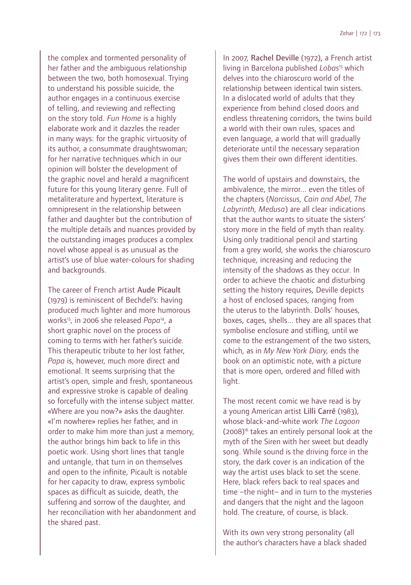the complex and tormented personality of her father and the ambiguous relationship between the two, both homosexual. Trying to understand his possible suicide, the author engages in a continuous exercise of telling, and reviewing and reflecting on the story told. *Fun Home* is a highly elaborate work and it dazzles the reader in many ways: for the graphic virtuosity of its author, a consummate draughtswoman; for her narrative techniques which in our opinion will bolster the development of the graphic novel and herald a magnificent future for this young literary genre. Full of metaliterature and hypertext, literature is omnipresent in the relationship between father and daughter but the contribution of the multiple details and nuances provided by the outstanding images produces a complex novel whose appeal is as unusual as the artist's use of blue water-colours for shading and backgrounds.

The career of French artist Aude Picault (1979) is reminiscent of Bechdel's: having produced much lighter and more humorous works13, in 2006 she released *Papa*14, a short graphic novel on the process of coming to terms with her father's suicide*.* This therapeutic tribute to her lost father, *Papa* is, however, much more direct and emotional. It seems surprising that the artist's open, simple and fresh, spontaneous and expressive stroke is capable of dealing so forcefully with the intense subject matter. «Where are you now?» asks the daughter. «I'm nowhere» replies her father, and in order to make him more than just a memory, the author brings him back to life in this poetic work. Using short lines that tangle and untangle, that turn in on themselves and open to the infinite, Picault is notable for her capacity to draw, express symbolic spaces as difficult as suicide, death, the suffering and sorrow of the daughter, and her reconciliation with her abandonment and the shared past.

In 2007, Rachel Deville (1972), a French artist living in Barcelona published *Lobas*<sup>15</sup> which delves into the chiaroscuro world of the relationship between identical twin sisters. In a dislocated world of adults that they experience from behind closed doors and endless threatening corridors, the twins build a world with their own rules, spaces and even language, a world that will gradually deteriorate until the necessary separation gives them their own different identities.

The world of upstairs and downstairs, the ambivalence, the mirror... even the titles of the chapters (*Narcissus, Cain and Abel, The Labyrinth, Medusa*) are all clear indications that the author wants to situate the sisters' story more in the field of myth than reality. Using only traditional pencil and starting from a grey world, she works the chiaroscuro technique, increasing and reducing the intensity of the shadows as they occur. In order to achieve the chaotic and disturbing setting the history requires. Deville depicts a host of enclosed spaces, ranging from the uterus to the labyrinth. Dolls' houses, boxes, cages, shells... they are all spaces that symbolise enclosure and stifling, until we come to the estrangement of the two sisters, which, as in *My New York Diary,* ends the book on an optimistic note, with a picture that is more open, ordered and filled with light.

The most recent comic we have read is by a young American artist Lilli Carré (1983), whose black-and-white work *The Lagoon*  (2008)16 takes an entirely personal look at the myth of the Siren with her sweet but deadly song. While sound is the driving force in the story, the dark cover is an indication of the way the artist uses black to set the scene. Here, black refers back to real spaces and time –the night– and in turn to the mysteries and dangers that the night and the lagoon hold. The creature, of course, is black.

With its own very strong personality (all the author's characters have a black shaded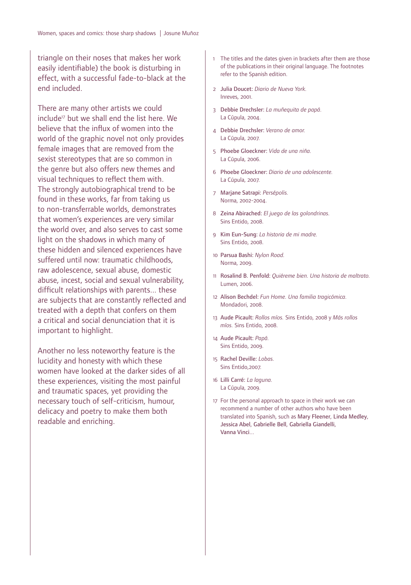triangle on their noses that makes her work easily identifiable) the book is disturbing in effect, with a successful fade-to-black at the end included.

There are many other artists we could include<sup>17</sup> but we shall end the list here. We believe that the influx of women into the world of the graphic novel not only provides female images that are removed from the sexist stereotypes that are so common in the genre but also offers new themes and visual techniques to reflect them with. The strongly autobiographical trend to be found in these works, far from taking us to non-transferrable worlds, demonstrates that women's experiences are very similar the world over, and also serves to cast some light on the shadows in which many of these hidden and silenced experiences have suffered until now: traumatic childhoods, raw adolescence, sexual abuse, domestic abuse, incest, social and sexual vulnerability, difficult relationships with parents... these are subjects that are constantly reflected and treated with a depth that confers on them a critical and social denunciation that it is important to highlight.

Another no less noteworthy feature is the lucidity and honesty with which these women have looked at the darker sides of all these experiences, visiting the most painful and traumatic spaces, yet providing the necessary touch of self-criticism, humour, delicacy and poetry to make them both readable and enriching.

- 1 The titles and the dates given in brackets after them are those of the publications in their original language. The footnotes refer to the Spanish edition.
- 2 Julia Doucet: *Diario de Nueva York.* Inreves, 2001.
- 3 Debbie Drechsler: *La muñequita de papá.*  La Cúpula, 2004.
- 4 Debbie Drechsler: *Verano de amor.*  La Cúpula, 2007.
- 5 Phoebe Gloeckner: *Vida de una niña.* La Cúpula, 2006.
- 6 Phoebe Gloeckner: *Diario de una adolescente.* La Cúpula, 2007.
- 7 Marjane Satrapi: *Persépolis.* Norma, 2002-2004.
- 8 Zeina Abirached: *El juego de las golondrinas.*  Sins Entido, 2008.
- 9 Kim Eun-Sung: *La historia de mi madre.*  Sins Entido, 2008.
- 10 Parsua Bashi: *Nylon Road.* Norma, 2009.
- 11 Rosalind B. Penfold: *Quiéreme bien. Una historia de maltrato.*  Lumen, 2006.
- 12 Alison Bechdel: *Fun Home. Una familia tragicómica.*  Mondadori, 2008.
- 13 Aude Picault: *Rollos míos.* Sins Entido, 2008 y *Más rollos míos.* Sins Entido, 2008.
- 14 Aude Picault: *Papá.* Sins Entido, 2009.
- 15 Rachel Deville: *Lobas.*  Sins Entido,2007.
- 16 Lilli Carré: *La laguna.*  La Cúpula, 2009.
- 17 For the personal approach to space in their work we can recommend a number of other authors who have been translated into Spanish, such as Mary Fleener, Linda Medley, Jessica Abel, Gabrielle Bell, Gabriella Giandelli, Vanna Vinci...